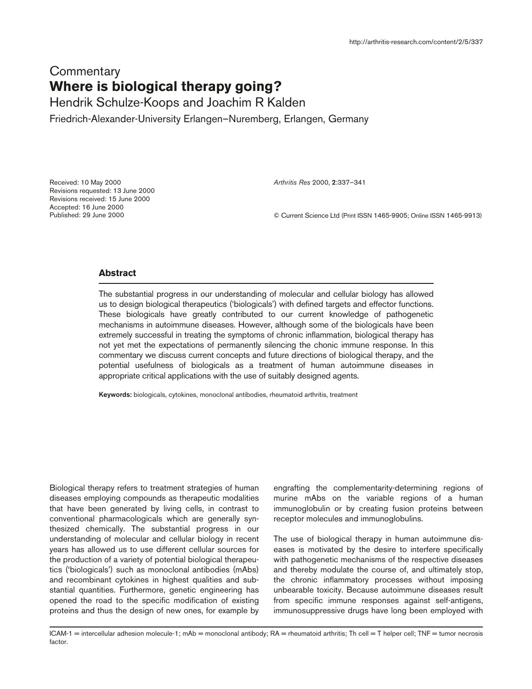## **Commentary Where is biological therapy going?**

Hendrik Schulze-Koops and Joachim R Kalden Friedrich-Alexander-University Erlangen–Nuremberg, Erlangen, Germany

Received: 10 May 2000 Revisions requested: 13 June 2000 Revisions received: 15 June 2000 Accepted: 16 June 2000 Published: 29 June 2000

*Arthritis Res* 2000, **2**:337–341

© Current Science Ltd (Print ISSN 1465-9905; Online ISSN 1465-9913)

## **Abstract**

The substantial progress in our understanding of molecular and cellular biology has allowed us to design biological therapeutics ('biologicals') with defined targets and effector functions. These biologicals have greatly contributed to our current knowledge of pathogenetic mechanisms in autoimmune diseases. However, although some of the biologicals have been extremely successful in treating the symptoms of chronic inflammation, biological therapy has not yet met the expectations of permanently silencing the chonic immune response. In this commentary we discuss current concepts and future directions of biological therapy, and the potential usefulness of biologicals as a treatment of human autoimmune diseases in appropriate critical applications with the use of suitably designed agents.

**Keywords:** biologicals, cytokines, monoclonal antibodies, rheumatoid arthritis, treatment

Biological therapy refers to treatment strategies of human diseases employing compounds as therapeutic modalities that have been generated by living cells, in contrast to conventional pharmacologicals which are generally synthesized chemically. The substantial progress in our understanding of molecular and cellular biology in recent years has allowed us to use different cellular sources for the production of a variety of potential biological therapeutics ('biologicals') such as monoclonal antibodies (mAbs) and recombinant cytokines in highest qualities and substantial quantities. Furthermore, genetic engineering has opened the road to the specific modification of existing proteins and thus the design of new ones, for example by

engrafting the complementarity-determining regions of murine mAbs on the variable regions of a human immunoglobulin or by creating fusion proteins between receptor molecules and immunoglobulins.

The use of biological therapy in human autoimmune diseases is motivated by the desire to interfere specifically with pathogenetic mechanisms of the respective diseases and thereby modulate the course of, and ultimately stop, the chronic inflammatory processes without imposing unbearable toxicity. Because autoimmune diseases result from specific immune responses against self-antigens, immunosuppressive drugs have long been employed with

ICAM-1 = intercellular adhesion molecule-1; mAb = monoclonal antibody; RA = rheumatoid arthritis; Th cell = T helper cell; TNF = tumor necrosis factor.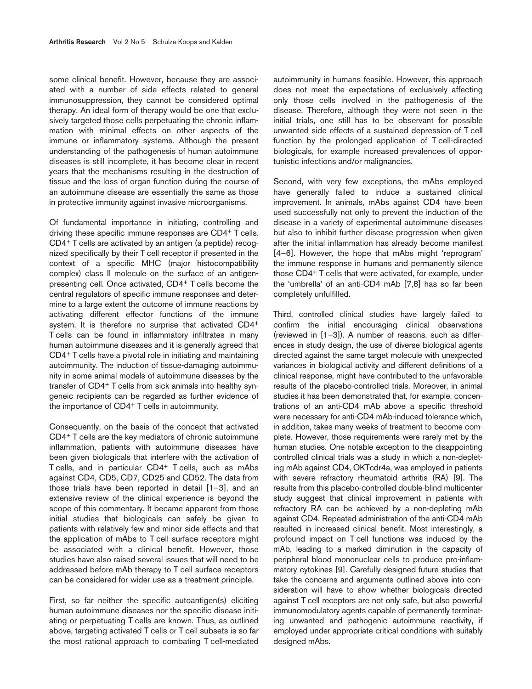some clinical benefit. However, because they are associated with a number of side effects related to general immunosuppression, they cannot be considered optimal therapy. An ideal form of therapy would be one that exclusively targeted those cells perpetuating the chronic inflammation with minimal effects on other aspects of the immune or inflammatory systems. Although the present understanding of the pathogenesis of human autoimmune diseases is still incomplete, it has become clear in recent years that the mechanisms resulting in the destruction of tissue and the loss of organ function during the course of an autoimmune disease are essentially the same as those in protective immunity against invasive microorganisms.

Of fundamental importance in initiating, controlling and driving these specific immune responses are CD4+ T cells. CD4+ T cells are activated by an antigen (a peptide) recognized specifically by their T cell receptor if presented in the context of a specific MHC (major histocompatibility complex) class II molecule on the surface of an antigenpresenting cell. Once activated, CD4+ T cells become the central regulators of specific immune responses and determine to a large extent the outcome of immune reactions by activating different effector functions of the immune system. It is therefore no surprise that activated CD4+ T cells can be found in inflammatory infiltrates in many human autoimmune diseases and it is generally agreed that CD4+ T cells have a pivotal role in initiating and maintaining autoimmunity. The induction of tissue-damaging autoimmunity in some animal models of autoimmune diseases by the transfer of CD4+ T cells from sick animals into healthy syngeneic recipients can be regarded as further evidence of the importance of CD4+ T cells in autoimmunity.

Consequently, on the basis of the concept that activated CD4+ T cells are the key mediators of chronic autoimmune inflammation, patients with autoimmune diseases have been given biologicals that interfere with the activation of T cells, and in particular CD4+ T cells, such as mAbs against CD4, CD5, CD7, CD25 and CD52. The data from those trials have been reported in detail [1–3], and an extensive review of the clinical experience is beyond the scope of this commentary. It became apparent from those initial studies that biologicals can safely be given to patients with relatively few and minor side effects and that the application of mAbs to T cell surface receptors might be associated with a clinical benefit. However, those studies have also raised several issues that will need to be addressed before mAb therapy to T cell surface receptors can be considered for wider use as a treatment principle.

First, so far neither the specific autoantigen(s) eliciting human autoimmune diseases nor the specific disease initiating or perpetuating T cells are known. Thus, as outlined above, targeting activated T cells or T cell subsets is so far the most rational approach to combating T cell-mediated

autoimmunity in humans feasible. However, this approach does not meet the expectations of exclusively affecting only those cells involved in the pathogenesis of the disease. Therefore, although they were not seen in the initial trials, one still has to be observant for possible unwanted side effects of a sustained depression of T cell function by the prolonged application of T cell-directed biologicals, for example increased prevalences of opportunistic infections and/or malignancies.

Second, with very few exceptions, the mAbs employed have generally failed to induce a sustained clinical improvement. In animals, mAbs against CD4 have been used successfully not only to prevent the induction of the disease in a variety of experimental autoimmune diseases but also to inhibit further disease progression when given after the initial inflammation has already become manifest [4–6]. However, the hope that mAbs might 'reprogram' the immune response in humans and permanently silence those CD4+ T cells that were activated, for example, under the 'umbrella' of an anti-CD4 mAb [7,8] has so far been completely unfulfilled.

Third, controlled clinical studies have largely failed to confirm the initial encouraging clinical observations (reviewed in [1–3]). A number of reasons, such as differences in study design, the use of diverse biological agents directed against the same target molecule with unexpected variances in biological activity and different definitions of a clinical response, might have contributed to the unfavorable results of the placebo-controlled trials. Moreover, in animal studies it has been demonstrated that, for example, concentrations of an anti-CD4 mAb above a specific threshold were necessary for anti-CD4 mAb-induced tolerance which, in addition, takes many weeks of treatment to become complete. However, those requirements were rarely met by the human studies. One notable exception to the disappointing controlled clinical trials was a study in which a non-depleting mAb against CD4, OKTcdr4a, was employed in patients with severe refractory rheumatoid arthritis (RA) [9]. The results from this placebo-controlled double-blind multicenter study suggest that clinical improvement in patients with refractory RA can be achieved by a non-depleting mAb against CD4. Repeated administration of the anti-CD4 mAb resulted in increased clinical benefit. Most interestingly, a profound impact on T cell functions was induced by the mAb, leading to a marked diminution in the capacity of peripheral blood mononuclear cells to produce pro-inflammatory cytokines [9]. Carefully designed future studies that take the concerns and arguments outlined above into consideration will have to show whether biologicals directed against T cell receptors are not only safe, but also powerful immunomodulatory agents capable of permanently terminating unwanted and pathogenic autoimmune reactivity, if employed under appropriate critical conditions with suitably designed mAbs.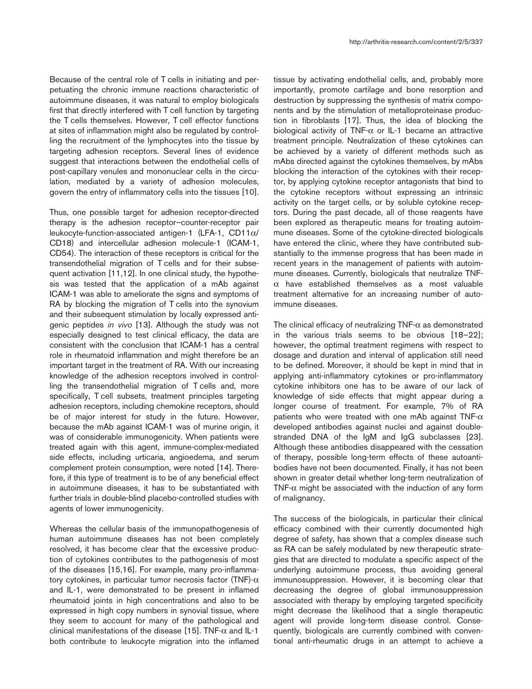Because of the central role of T cells in initiating and perpetuating the chronic immune reactions characteristic of autoimmune diseases, it was natural to employ biologicals first that directly interfered with T cell function by targeting the T cells themselves. However, T cell effector functions at sites of inflammation might also be regulated by controlling the recruitment of the lymphocytes into the tissue by targeting adhesion receptors. Several lines of evidence suggest that interactions between the endothelial cells of post-capillary venules and mononuclear cells in the circulation, mediated by a variety of adhesion molecules, govern the entry of inflammatory cells into the tissues [10].

Thus, one possible target for adhesion receptor-directed therapy is the adhesion receptor–counter-receptor pair leukocyte-function-associated antigen-1 (LFA-1, CD11α/ CD18) and intercellular adhesion molecule-1 (ICAM-1, CD54). The interaction of these receptors is critical for the transendothelial migration of T cells and for their subsequent activation [11,12]. In one clinical study, the hypothesis was tested that the application of a mAb against ICAM-1 was able to ameliorate the signs and symptoms of RA by blocking the migration of T cells into the synovium and their subsequent stimulation by locally expressed antigenic peptides *in vivo* [13]. Although the study was not especially designed to test clinical efficacy, the data are consistent with the conclusion that ICAM-1 has a central role in rheumatoid inflammation and might therefore be an important target in the treatment of RA. With our increasing knowledge of the adhesion receptors involved in controlling the transendothelial migration of T cells and, more specifically, T cell subsets, treatment principles targeting adhesion receptors, including chemokine receptors, should be of major interest for study in the future. However, because the mAb against ICAM-1 was of murine origin, it was of considerable immunogenicity. When patients were treated again with this agent, immune-complex-mediated side effects, including urticaria, angioedema, and serum complement protein consumption, were noted [14]. Therefore, if this type of treatment is to be of any beneficial effect in autoimmune diseases, it has to be substantiated with further trials in double-blind placebo-controlled studies with agents of lower immunogenicity.

Whereas the cellular basis of the immunopathogenesis of human autoimmune diseases has not been completely resolved, it has become clear that the excessive production of cytokines contributes to the pathogenesis of most of the diseases [15,16]. For example, many pro-inflammatory cytokines, in particular tumor necrosis factor (TNF)- $\alpha$ and IL-1, were demonstrated to be present in inflamed rheumatoid joints in high concentrations and also to be expressed in high copy numbers in synovial tissue, where they seem to account for many of the pathological and clinical manifestations of the disease [15]. TNF- $\alpha$  and IL-1 both contribute to leukocyte migration into the inflamed

tissue by activating endothelial cells, and, probably more importantly, promote cartilage and bone resorption and destruction by suppressing the synthesis of matrix components and by the stimulation of metalloproteinase production in fibroblasts [17]. Thus, the idea of blocking the biological activity of TNF- $\alpha$  or IL-1 became an attractive treatment principle. Neutralization of these cytokines can be achieved by a variety of different methods such as mAbs directed against the cytokines themselves, by mAbs blocking the interaction of the cytokines with their receptor, by applying cytokine receptor antagonists that bind to the cytokine receptors without expressing an intrinsic activity on the target cells, or by soluble cytokine receptors. During the past decade, all of those reagents have been explored as therapeutic means for treating autoimmune diseases. Some of the cytokine-directed biologicals have entered the clinic, where they have contributed substantially to the immense progress that has been made in recent years in the management of patients with autoimmune diseases. Currently, biologicals that neutralize TNFα have established themselves as a most valuable treatment alternative for an increasing number of autoimmune diseases.

The clinical efficacy of neutralizing  $TNF-\alpha$  as demonstrated in the various trials seems to be obvious [18–22]; however, the optimal treatment regimens with respect to dosage and duration and interval of application still need to be defined. Moreover, it should be kept in mind that in applying anti-inflammatory cytokines or pro-inflammatory cytokine inhibitors one has to be aware of our lack of knowledge of side effects that might appear during a longer course of treatment. For example, 7% of RA patients who were treated with one mAb against  $TNF-\alpha$ developed antibodies against nuclei and against doublestranded DNA of the IgM and IgG subclasses [23]. Although these antibodies disappeared with the cessation of therapy, possible long-term effects of these autoantibodies have not been documented. Finally, it has not been shown in greater detail whether long-term neutralization of TNF- $\alpha$  might be associated with the induction of any form of malignancy.

The success of the biologicals, in particular their clinical efficacy combined with their currently documented high degree of safety, has shown that a complex disease such as RA can be safely modulated by new therapeutic strategies that are directed to modulate a specific aspect of the underlying autoimmune process, thus avoiding general immunosuppression. However, it is becoming clear that decreasing the degree of global immunosuppression associated with therapy by employing targeted specificity might decrease the likelihood that a single therapeutic agent will provide long-term disease control. Consequently, biologicals are currently combined with conventional anti-rheumatic drugs in an attempt to achieve a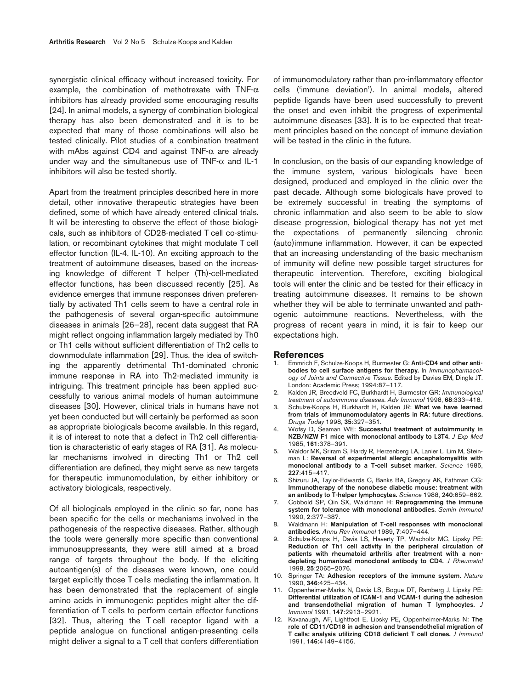synergistic clinical efficacy without increased toxicity. For example, the combination of methotrexate with TNF- $\alpha$ inhibitors has already provided some encouraging results [24]. In animal models, a synergy of combination biological therapy has also been demonstrated and it is to be expected that many of those combinations will also be tested clinically. Pilot studies of a combination treatment with mAbs against CD4 and against  $TNF-\alpha$  are already under way and the simultaneous use of TNF- $\alpha$  and IL-1 inhibitors will also be tested shortly.

Apart from the treatment principles described here in more detail, other innovative therapeutic strategies have been defined, some of which have already entered clinical trials. It will be interesting to observe the effect of those biologicals, such as inhibitors of CD28-mediated T cell co-stimulation, or recombinant cytokines that might modulate T cell effector function (IL-4, IL-10). An exciting approach to the treatment of autoimmune diseases, based on the increasing knowledge of different T helper (Th)-cell-mediated effector functions, has been discussed recently [25]. As evidence emerges that immune responses driven preferentially by activated Th1 cells seem to have a central role in the pathogenesis of several organ-specific autoimmune diseases in animals [26–28], recent data suggest that RA might reflect ongoing inflammation largely mediated by Th0 or Th1 cells without sufficient differentiation of Th2 cells to downmodulate inflammation [29]. Thus, the idea of switching the apparently detrimental Th1-dominated chronic immune response in RA into Th2-mediated immunity is intriguing. This treatment principle has been applied successfully to various animal models of human autoimmune diseases [30]. However, clinical trials in humans have not yet been conducted but will certainly be performed as soon as appropriate biologicals become available. In this regard, it is of interest to note that a defect in Th2 cell differentiation is characteristic of early stages of RA [31]. As molecular mechanisms involved in directing Th1 or Th2 cell differentiation are defined, they might serve as new targets for therapeutic immunomodulation, by either inhibitory or activatory biologicals, respectively.

Of all biologicals employed in the clinic so far, none has been specific for the cells or mechanisms involved in the pathogenesis of the respective diseases. Rather, although the tools were generally more specific than conventional immunosuppressants, they were still aimed at a broad range of targets throughout the body. If the eliciting autoantigen(s) of the diseases were known, one could target explicitly those T cells mediating the inflammation. It has been demonstrated that the replacement of single amino acids in immunogenic peptides might alter the differentiation of T cells to perform certain effector functions [32]. Thus, altering the T cell receptor ligand with a peptide analogue on functional antigen-presenting cells might deliver a signal to a T cell that confers differentiation of immunomodulatory rather than pro-inflammatory effector cells ('immune deviation'). In animal models, altered peptide ligands have been used successfully to prevent the onset and even inhibit the progress of experimental autoimmune diseases [33]. It is to be expected that treatment principles based on the concept of immune deviation will be tested in the clinic in the future.

In conclusion, on the basis of our expanding knowledge of the immune system, various biologicals have been designed, produced and employed in the clinic over the past decade. Although some biologicals have proved to be extremely successful in treating the symptoms of chronic inflammation and also seem to be able to slow disease progression, biological therapy has not yet met the expectations of permanently silencing chronic (auto)immune inflammation. However, it can be expected that an increasing understanding of the basic mechanism of immunity will define new possible target structures for therapeutic intervention. Therefore, exciting biological tools will enter the clinic and be tested for their efficacy in treating autoimmune diseases. It remains to be shown whether they will be able to terminate unwanted and pathogenic autoimmune reactions. Nevertheless, with the progress of recent years in mind, it is fair to keep our expectations high.

## **References**

- 1. Emmrich F, Schulze-Koops H, Burmester G: **Anti-CD4 and other antibodies to cell surface antigens for therapy.** In *Immunopharmacology of Joints and Connective Tissue*. Edited by Davies EM, Dingle JT. London: Academic Press; 1994:87–117.
- 2. Kalden JR, Breedveld FC, Burkhardt H, Burmester GR: *Immunological treatment of autoimmune diseases*. *Adv Immunol* 1998, **68**:333–418.
- 3. Schulze-Koops H, Burkhardt H, Kalden JR: **What we have learned from trials of immunomodulatory agents in RA: future directions.** *Drugs Today* 1998, **35**:327–351.
- 4. Wofsy D, Seaman WE: **Successful treatment of autoimmunity in NZB/NZW F1 mice with monoclonal antibody to L3T4.** *J Exp Med* 1985, **161**:378–391.
- 5. Waldor MK, Sriram S, Hardy R, Herzenberg LA, Lanier L, Lim M, Steinman L: **Reversal of experimental allergic encephalomyelitis with monoclonal antibody to a T-cell subset marker.** *Science* 1985, **227**:415–417.
- 6. Shizuru JA, Taylor-Edwards C, Banks BA, Gregory AK, Fathman CG: **Immunotherapy of the nonobese diabetic mouse: treatment with an antibody to T-helper lymphocytes.** *Science* 1988, **240**:659–662.
- 7. Cobbold SP, Qin SX, Waldmann H: **Reprogramming the immune system for tolerance with monoclonal antibodies.** *Semin Immunol* 1990, **2**:377–387.
- 8. Waldmann H: **Manipulation of T-cell responses with monoclonal antibodies.** *Annu Rev Immunol* 1989, **7**:407–444.
- 9. Schulze-Koops H, Davis LS, Haverty TP, Wacholtz MC, Lipsky PE: **Reduction of Th1 cell activity in the peripheral circulation of patients with rheumatoid arthritis after treatment with a nondepleting humanized monoclonal antibody to CD4.** *J Rheumatol* 1998, **25**:2065–2076.
- 10. Springer TA: **Adhesion receptors of the immune system.** *Nature* 1990, **346**:425–434.
- 11. Oppenheimer-Marks N, Davis LS, Bogue DT, Ramberg J, Lipsky PE: **Differential utilization of ICAM-1 and VCAM-1 during the adhesion and transendothelial migration of human T lymphocytes.** *J Immunol* 1991, **147**:2913–2921.
- 12. Kavanaugh, AF, Lightfoot E, Lipsky PE, Oppenheimer-Marks N: **The role of CD11/CD18 in adhesion and transendothelial migration of T cells: analysis utilizing CD18 deficient T cell clones.** *J Immunol* 1991, **146**:4149–4156.